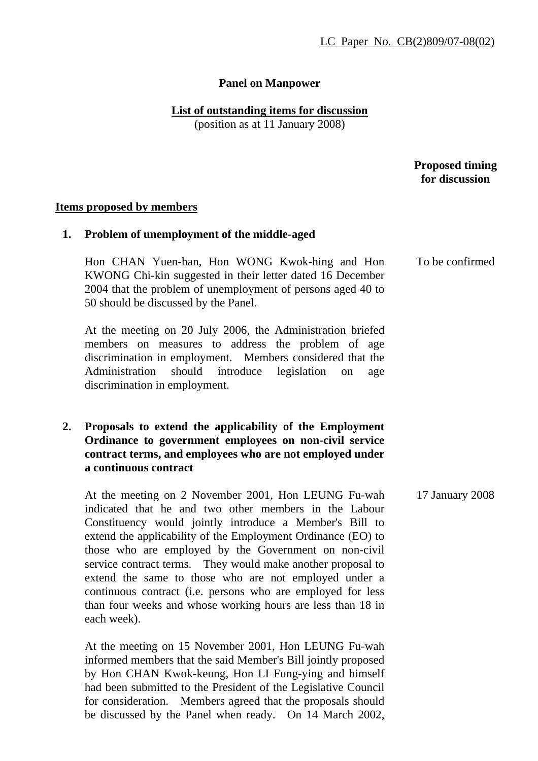# **Panel on Manpower**

#### **List of outstanding items for discussion**

(position as at 11 January 2008)

 **Proposed timing for discussion** 

#### **Items proposed by members**

#### **1. Problem of unemployment of the middle-aged**

Hon CHAN Yuen-han, Hon WONG Kwok-hing and Hon KWONG Chi-kin suggested in their letter dated 16 December 2004 that the problem of unemployment of persons aged 40 to 50 should be discussed by the Panel. To be confirmed

At the meeting on 20 July 2006, the Administration briefed members on measures to address the problem of age discrimination in employment. Members considered that the Administration should introduce legislation on age discrimination in employment.

# **2. Proposals to extend the applicability of the Employment Ordinance to government employees on non-civil service contract terms, and employees who are not employed under a continuous contract**

At the meeting on 2 November 2001, Hon LEUNG Fu-wah indicated that he and two other members in the Labour Constituency would jointly introduce a Member's Bill to extend the applicability of the Employment Ordinance (EO) to those who are employed by the Government on non-civil service contract terms. They would make another proposal to extend the same to those who are not employed under a continuous contract (i.e. persons who are employed for less than four weeks and whose working hours are less than 18 in each week).

At the meeting on 15 November 2001, Hon LEUNG Fu-wah informed members that the said Member's Bill jointly proposed by Hon CHAN Kwok-keung, Hon LI Fung-ying and himself had been submitted to the President of the Legislative Council for consideration. Members agreed that the proposals should be discussed by the Panel when ready. On 14 March 2002,

17 January 2008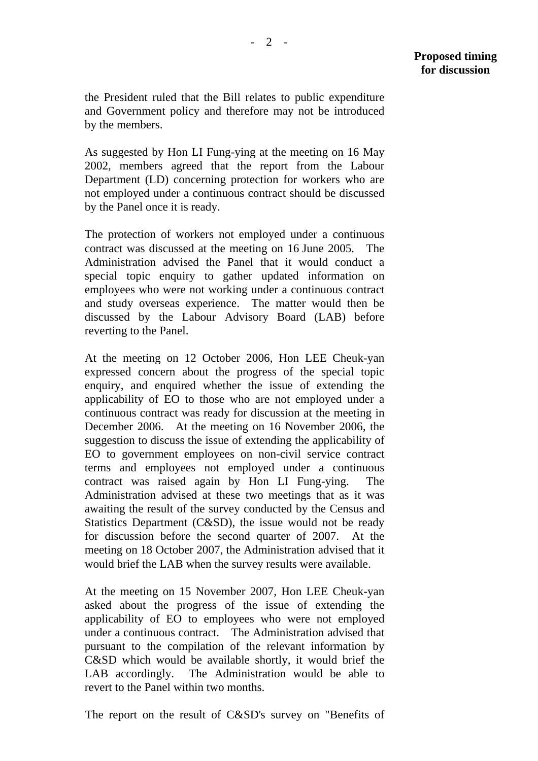the President ruled that the Bill relates to public expenditure and Government policy and therefore may not be introduced by the members.

As suggested by Hon LI Fung-ying at the meeting on 16 May 2002, members agreed that the report from the Labour Department (LD) concerning protection for workers who are not employed under a continuous contract should be discussed by the Panel once it is ready.

The protection of workers not employed under a continuous contract was discussed at the meeting on 16 June 2005. The Administration advised the Panel that it would conduct a special topic enquiry to gather updated information on employees who were not working under a continuous contract and study overseas experience. The matter would then be discussed by the Labour Advisory Board (LAB) before reverting to the Panel.

At the meeting on 12 October 2006, Hon LEE Cheuk-yan expressed concern about the progress of the special topic enquiry, and enquired whether the issue of extending the applicability of EO to those who are not employed under a continuous contract was ready for discussion at the meeting in December 2006. At the meeting on 16 November 2006, the suggestion to discuss the issue of extending the applicability of EO to government employees on non-civil service contract terms and employees not employed under a continuous contract was raised again by Hon LI Fung-ying. The Administration advised at these two meetings that as it was awaiting the result of the survey conducted by the Census and Statistics Department (C&SD), the issue would not be ready for discussion before the second quarter of 2007. At the meeting on 18 October 2007, the Administration advised that it would brief the LAB when the survey results were available.

At the meeting on 15 November 2007, Hon LEE Cheuk-yan asked about the progress of the issue of extending the applicability of EO to employees who were not employed under a continuous contract. The Administration advised that pursuant to the compilation of the relevant information by C&SD which would be available shortly, it would brief the LAB accordingly. The Administration would be able to revert to the Panel within two months.

The report on the result of C&SD's survey on "Benefits of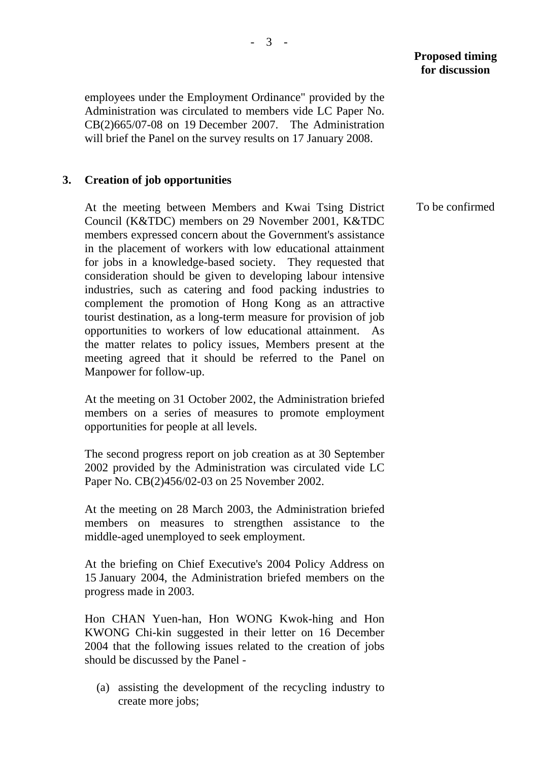# **Proposed timing for discussion**

employees under the Employment Ordinance" provided by the Administration was circulated to members vide LC Paper No. CB(2)665/07-08 on 19 December 2007. The Administration will brief the Panel on the survey results on 17 January 2008.

# **3. Creation of job opportunities**

At the meeting between Members and Kwai Tsing District Council (K&TDC) members on 29 November 2001, K&TDC members expressed concern about the Government's assistance in the placement of workers with low educational attainment for jobs in a knowledge-based society. They requested that consideration should be given to developing labour intensive industries, such as catering and food packing industries to complement the promotion of Hong Kong as an attractive tourist destination, as a long-term measure for provision of job opportunities to workers of low educational attainment. As the matter relates to policy issues, Members present at the meeting agreed that it should be referred to the Panel on Manpower for follow-up.

At the meeting on 31 October 2002, the Administration briefed members on a series of measures to promote employment opportunities for people at all levels.

The second progress report on job creation as at 30 September 2002 provided by the Administration was circulated vide LC Paper No. CB(2)456/02-03 on 25 November 2002.

At the meeting on 28 March 2003, the Administration briefed members on measures to strengthen assistance to the middle-aged unemployed to seek employment.

At the briefing on Chief Executive's 2004 Policy Address on 15 January 2004, the Administration briefed members on the progress made in 2003.

Hon CHAN Yuen-han, Hon WONG Kwok-hing and Hon KWONG Chi-kin suggested in their letter on 16 December 2004 that the following issues related to the creation of jobs should be discussed by the Panel -

(a) assisting the development of the recycling industry to create more jobs;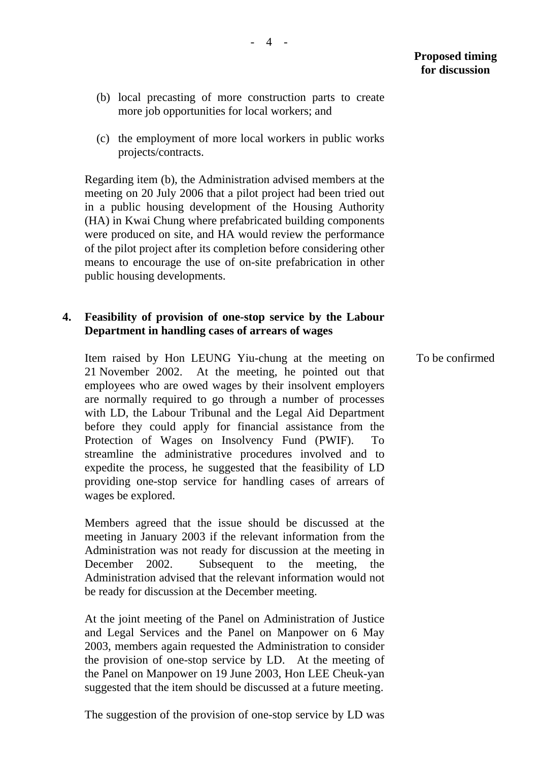- (b) local precasting of more construction parts to create more job opportunities for local workers; and
- (c) the employment of more local workers in public works projects/contracts.

Regarding item (b), the Administration advised members at the meeting on 20 July 2006 that a pilot project had been tried out in a public housing development of the Housing Authority (HA) in Kwai Chung where prefabricated building components were produced on site, and HA would review the performance of the pilot project after its completion before considering other means to encourage the use of on-site prefabrication in other public housing developments.

# **4. Feasibility of provision of one-stop service by the Labour Department in handling cases of arrears of wages**

Item raised by Hon LEUNG Yiu-chung at the meeting on 21 November 2002. At the meeting, he pointed out that employees who are owed wages by their insolvent employers are normally required to go through a number of processes with LD, the Labour Tribunal and the Legal Aid Department before they could apply for financial assistance from the Protection of Wages on Insolvency Fund (PWIF). To streamline the administrative procedures involved and to expedite the process, he suggested that the feasibility of LD providing one-stop service for handling cases of arrears of wages be explored.

Members agreed that the issue should be discussed at the meeting in January 2003 if the relevant information from the Administration was not ready for discussion at the meeting in December 2002. Subsequent to the meeting, the Administration advised that the relevant information would not be ready for discussion at the December meeting.

At the joint meeting of the Panel on Administration of Justice and Legal Services and the Panel on Manpower on 6 May 2003, members again requested the Administration to consider the provision of one-stop service by LD. At the meeting of the Panel on Manpower on 19 June 2003, Hon LEE Cheuk-yan suggested that the item should be discussed at a future meeting.

The suggestion of the provision of one-stop service by LD was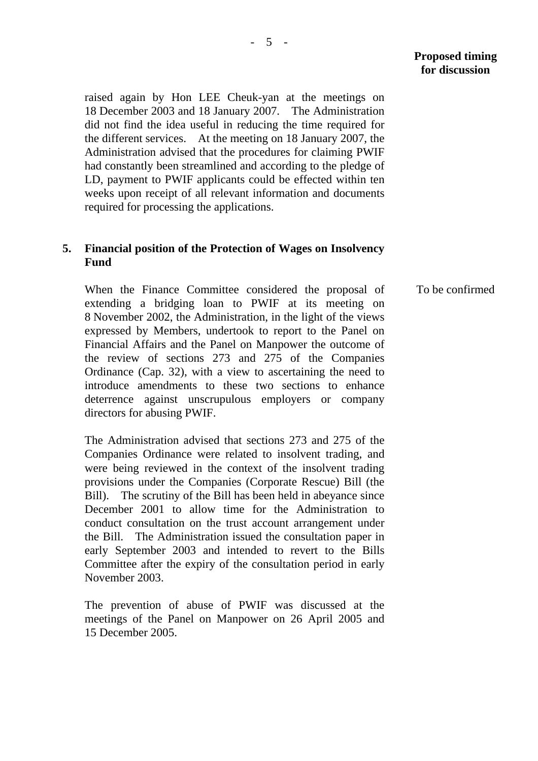To be confirmed

raised again by Hon LEE Cheuk-yan at the meetings on 18 December 2003 and 18 January 2007. The Administration did not find the idea useful in reducing the time required for the different services. At the meeting on 18 January 2007, the Administration advised that the procedures for claiming PWIF had constantly been streamlined and according to the pledge of LD, payment to PWIF applicants could be effected within ten weeks upon receipt of all relevant information and documents required for processing the applications.

## **5. Financial position of the Protection of Wages on Insolvency Fund**

When the Finance Committee considered the proposal of extending a bridging loan to PWIF at its meeting on 8 November 2002, the Administration, in the light of the views expressed by Members, undertook to report to the Panel on Financial Affairs and the Panel on Manpower the outcome of the review of sections 273 and 275 of the Companies Ordinance (Cap. 32), with a view to ascertaining the need to introduce amendments to these two sections to enhance deterrence against unscrupulous employers or company directors for abusing PWIF.

 The Administration advised that sections 273 and 275 of the Companies Ordinance were related to insolvent trading, and were being reviewed in the context of the insolvent trading provisions under the Companies (Corporate Rescue) Bill (the Bill). The scrutiny of the Bill has been held in abeyance since December 2001 to allow time for the Administration to conduct consultation on the trust account arrangement under the Bill. The Administration issued the consultation paper in early September 2003 and intended to revert to the Bills Committee after the expiry of the consultation period in early November 2003.

The prevention of abuse of PWIF was discussed at the meetings of the Panel on Manpower on 26 April 2005 and 15 December 2005.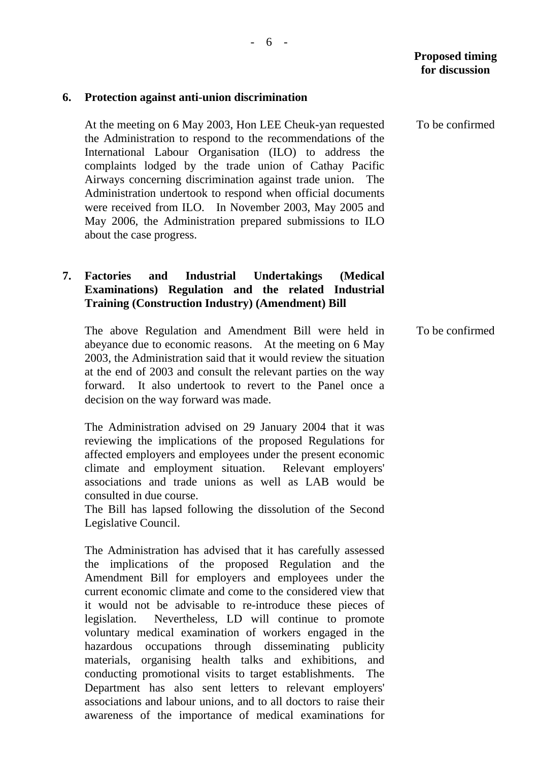# **6. Protection against anti-union discrimination**

At the meeting on 6 May 2003, Hon LEE Cheuk-yan requested the Administration to respond to the recommendations of the International Labour Organisation (ILO) to address the complaints lodged by the trade union of Cathay Pacific Airways concerning discrimination against trade union. The Administration undertook to respond when official documents were received from ILO. In November 2003, May 2005 and May 2006, the Administration prepared submissions to ILO about the case progress.

# **7. Factories and Industrial Undertakings (Medical Examinations) Regulation and the related Industrial Training (Construction Industry) (Amendment) Bill**

The above Regulation and Amendment Bill were held in abeyance due to economic reasons. At the meeting on 6 May 2003, the Administration said that it would review the situation at the end of 2003 and consult the relevant parties on the way forward. It also undertook to revert to the Panel once a decision on the way forward was made.

The Administration advised on 29 January 2004 that it was reviewing the implications of the proposed Regulations for affected employers and employees under the present economic climate and employment situation. Relevant employers' associations and trade unions as well as LAB would be consulted in due course.

The Bill has lapsed following the dissolution of the Second Legislative Council.

The Administration has advised that it has carefully assessed the implications of the proposed Regulation and the Amendment Bill for employers and employees under the current economic climate and come to the considered view that it would not be advisable to re-introduce these pieces of legislation. Nevertheless, LD will continue to promote voluntary medical examination of workers engaged in the hazardous occupations through disseminating publicity materials, organising health talks and exhibitions, and conducting promotional visits to target establishments. The Department has also sent letters to relevant employers' associations and labour unions, and to all doctors to raise their awareness of the importance of medical examinations for

To be confirmed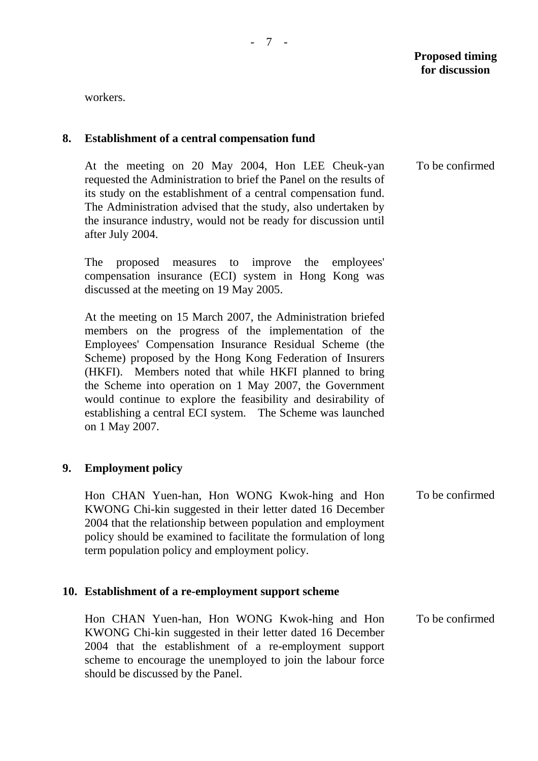workers.

#### **8. Establishment of a central compensation fund**

At the meeting on 20 May 2004, Hon LEE Cheuk-yan requested the Administration to brief the Panel on the results of its study on the establishment of a central compensation fund. The Administration advised that the study, also undertaken by the insurance industry, would not be ready for discussion until after July 2004.

The proposed measures to improve the employees' compensation insurance (ECI) system in Hong Kong was discussed at the meeting on 19 May 2005.

At the meeting on 15 March 2007, the Administration briefed members on the progress of the implementation of the Employees' Compensation Insurance Residual Scheme (the Scheme) proposed by the Hong Kong Federation of Insurers (HKFI). Members noted that while HKFI planned to bring the Scheme into operation on 1 May 2007, the Government would continue to explore the feasibility and desirability of establishing a central ECI system. The Scheme was launched on 1 May 2007.

# **9. Employment policy**

Hon CHAN Yuen-han, Hon WONG Kwok-hing and Hon KWONG Chi-kin suggested in their letter dated 16 December 2004 that the relationship between population and employment policy should be examined to facilitate the formulation of long term population policy and employment policy.

#### **10. Establishment of a re-employment support scheme**

Hon CHAN Yuen-han, Hon WONG Kwok-hing and Hon KWONG Chi-kin suggested in their letter dated 16 December 2004 that the establishment of a re-employment support scheme to encourage the unemployed to join the labour force should be discussed by the Panel. To be confirmed

To be confirmed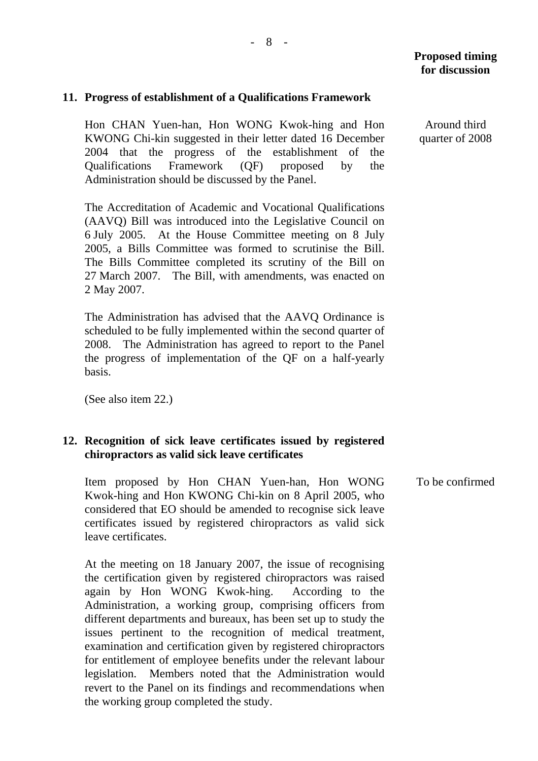### **11. Progress of establishment of a Qualifications Framework**

Hon CHAN Yuen-han, Hon WONG Kwok-hing and Hon KWONG Chi-kin suggested in their letter dated 16 December 2004 that the progress of the establishment of the Qualifications Framework (QF) proposed by the Administration should be discussed by the Panel.

The Accreditation of Academic and Vocational Qualifications (AAVQ) Bill was introduced into the Legislative Council on 6 July 2005. At the House Committee meeting on 8 July 2005, a Bills Committee was formed to scrutinise the Bill. The Bills Committee completed its scrutiny of the Bill on 27 March 2007. The Bill, with amendments, was enacted on 2 May 2007.

The Administration has advised that the AAVQ Ordinance is scheduled to be fully implemented within the second quarter of 2008. The Administration has agreed to report to the Panel the progress of implementation of the QF on a half-yearly basis.

(See also item 22.)

#### **12. Recognition of sick leave certificates issued by registered chiropractors as valid sick leave certificates**

Item proposed by Hon CHAN Yuen-han, Hon WONG Kwok-hing and Hon KWONG Chi-kin on 8 April 2005, who considered that EO should be amended to recognise sick leave certificates issued by registered chiropractors as valid sick leave certificates.

At the meeting on 18 January 2007, the issue of recognising the certification given by registered chiropractors was raised again by Hon WONG Kwok-hing. According to the Administration, a working group, comprising officers from different departments and bureaux, has been set up to study the issues pertinent to the recognition of medical treatment, examination and certification given by registered chiropractors for entitlement of employee benefits under the relevant labour legislation. Members noted that the Administration would revert to the Panel on its findings and recommendations when the working group completed the study.

To be confirmed

Around third quarter of 2008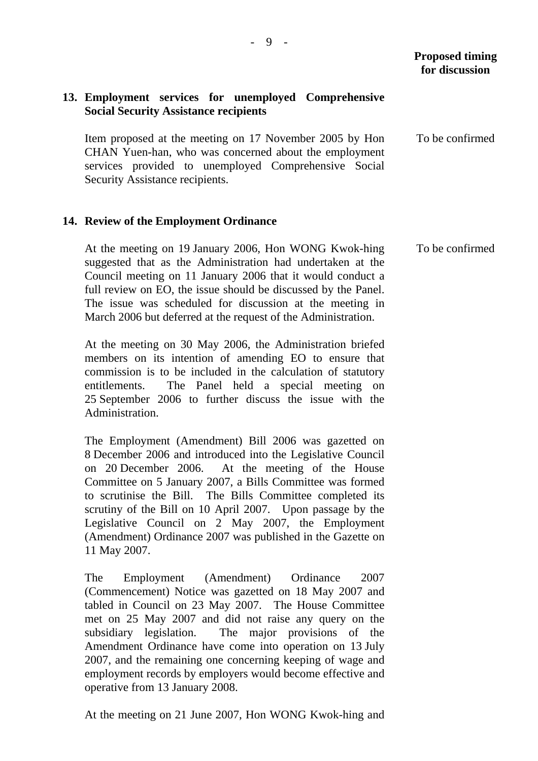To be confirmed

# **13. Employment services for unemployed Comprehensive Social Security Assistance recipients**

Item proposed at the meeting on 17 November 2005 by Hon CHAN Yuen-han, who was concerned about the employment services provided to unemployed Comprehensive Social Security Assistance recipients. To be confirmed

## **14. Review of the Employment Ordinance**

At the meeting on 19 January 2006, Hon WONG Kwok-hing suggested that as the Administration had undertaken at the Council meeting on 11 January 2006 that it would conduct a full review on EO, the issue should be discussed by the Panel. The issue was scheduled for discussion at the meeting in March 2006 but deferred at the request of the Administration.

At the meeting on 30 May 2006, the Administration briefed members on its intention of amending EO to ensure that commission is to be included in the calculation of statutory entitlements. The Panel held a special meeting on 25 September 2006 to further discuss the issue with the Administration.

The Employment (Amendment) Bill 2006 was gazetted on 8 December 2006 and introduced into the Legislative Council on 20 December 2006. At the meeting of the House Committee on 5 January 2007, a Bills Committee was formed to scrutinise the Bill. The Bills Committee completed its scrutiny of the Bill on 10 April 2007. Upon passage by the Legislative Council on 2 May 2007, the Employment (Amendment) Ordinance 2007 was published in the Gazette on 11 May 2007.

The Employment (Amendment) Ordinance 2007 (Commencement) Notice was gazetted on 18 May 2007 and tabled in Council on 23 May 2007. The House Committee met on 25 May 2007 and did not raise any query on the subsidiary legislation. The major provisions of the Amendment Ordinance have come into operation on 13 July 2007, and the remaining one concerning keeping of wage and employment records by employers would become effective and operative from 13 January 2008.

At the meeting on 21 June 2007, Hon WONG Kwok-hing and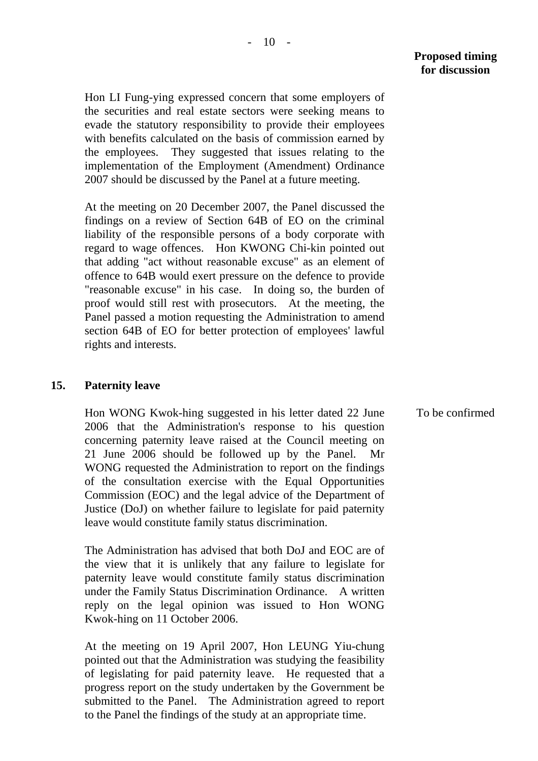Hon LI Fung-ying expressed concern that some employers of the securities and real estate sectors were seeking means to evade the statutory responsibility to provide their employees with benefits calculated on the basis of commission earned by the employees. They suggested that issues relating to the implementation of the Employment (Amendment) Ordinance 2007 should be discussed by the Panel at a future meeting.

At the meeting on 20 December 2007, the Panel discussed the findings on a review of Section 64B of EO on the criminal liability of the responsible persons of a body corporate with regard to wage offences. Hon KWONG Chi-kin pointed out that adding "act without reasonable excuse" as an element of offence to 64B would exert pressure on the defence to provide "reasonable excuse" in his case. In doing so, the burden of proof would still rest with prosecutors. At the meeting, the Panel passed a motion requesting the Administration to amend section 64B of EO for better protection of employees' lawful rights and interests.

### **15. Paternity leave**

Hon WONG Kwok-hing suggested in his letter dated 22 June 2006 that the Administration's response to his question concerning paternity leave raised at the Council meeting on 21 June 2006 should be followed up by the Panel. Mr WONG requested the Administration to report on the findings of the consultation exercise with the Equal Opportunities Commission (EOC) and the legal advice of the Department of Justice (DoJ) on whether failure to legislate for paid paternity leave would constitute family status discrimination.

The Administration has advised that both DoJ and EOC are of the view that it is unlikely that any failure to legislate for paternity leave would constitute family status discrimination under the Family Status Discrimination Ordinance. A written reply on the legal opinion was issued to Hon WONG Kwok-hing on 11 October 2006.

At the meeting on 19 April 2007, Hon LEUNG Yiu-chung pointed out that the Administration was studying the feasibility of legislating for paid paternity leave. He requested that a progress report on the study undertaken by the Government be submitted to the Panel. The Administration agreed to report to the Panel the findings of the study at an appropriate time.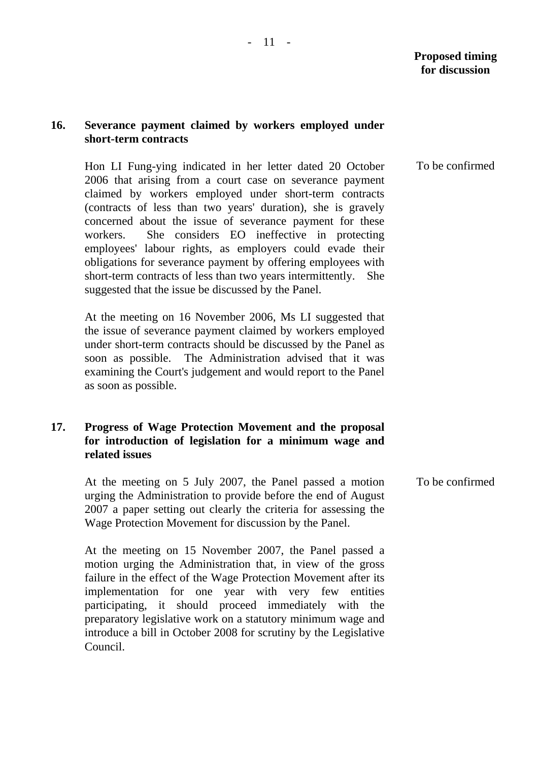## **16. Severance payment claimed by workers employed under short-term contracts**

Hon LI Fung-ying indicated in her letter dated 20 October 2006 that arising from a court case on severance payment claimed by workers employed under short-term contracts (contracts of less than two years' duration), she is gravely concerned about the issue of severance payment for these workers. She considers EO ineffective in protecting employees' labour rights, as employers could evade their obligations for severance payment by offering employees with short-term contracts of less than two years intermittently. She suggested that the issue be discussed by the Panel.

At the meeting on 16 November 2006, Ms LI suggested that the issue of severance payment claimed by workers employed under short-term contracts should be discussed by the Panel as soon as possible. The Administration advised that it was examining the Court's judgement and would report to the Panel as soon as possible.

# **17. Progress of Wage Protection Movement and the proposal for introduction of legislation for a minimum wage and related issues**

At the meeting on 5 July 2007, the Panel passed a motion urging the Administration to provide before the end of August 2007 a paper setting out clearly the criteria for assessing the Wage Protection Movement for discussion by the Panel.

At the meeting on 15 November 2007, the Panel passed a motion urging the Administration that, in view of the gross failure in the effect of the Wage Protection Movement after its implementation for one year with very few entities participating, it should proceed immediately with the preparatory legislative work on a statutory minimum wage and introduce a bill in October 2008 for scrutiny by the Legislative Council.

To be confirmed